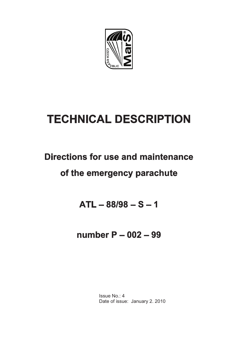

# **TECHNICAL DESCRIPTION**

## **Directions for use and maintenance**

## **of the emergency parachute**

## **ATL – 88/98 – S – 1**

## **number P – 002 – 99**

Issue No.: 4 Date of issue: January 2. 2010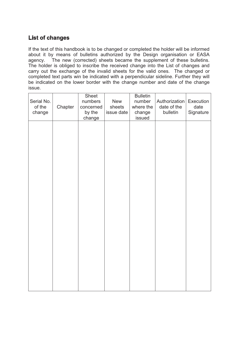## **List of changes**

If the text of this handbook is to be changed or completed the holder will be informed about it by means of bulletins authorized by the Design organisation or EASA agency. The new (corrected) sheets became the supplement of these bulletins. The holder is obliged to inscribe the received change into the List of changes and carry out the exchange of the invalid sheets for the valid ones. The changed or completed text parts win be indicated with a perpendicular sideline. Further they will be indicated on the lower border with the change number and date of the change issue.

| Serial No.<br>of the<br>change | Chapter | Sheet<br>numbers<br>concerned<br>by the<br>change | New<br>sheets<br>issue date | <b>Bulletin</b><br>number<br>where the<br>change<br>issued | Authorization<br>date of the<br>bulletin | Execution<br>date<br>Signature |
|--------------------------------|---------|---------------------------------------------------|-----------------------------|------------------------------------------------------------|------------------------------------------|--------------------------------|
|                                |         |                                                   |                             |                                                            |                                          |                                |
|                                |         |                                                   |                             |                                                            |                                          |                                |
|                                |         |                                                   |                             |                                                            |                                          |                                |
|                                |         |                                                   |                             |                                                            |                                          |                                |
|                                |         |                                                   |                             |                                                            |                                          |                                |
|                                |         |                                                   |                             |                                                            |                                          |                                |
|                                |         |                                                   |                             |                                                            |                                          |                                |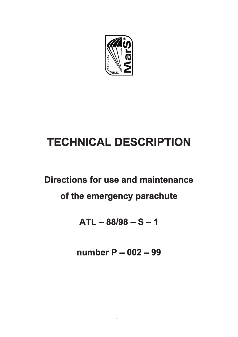

# **TECHNICAL DESCRIPTION**

## **Directions for use and maintenance**

## **of the emergency parachute**

## **ATL – 88/98 – S – 1**

**number P – 002 – 99**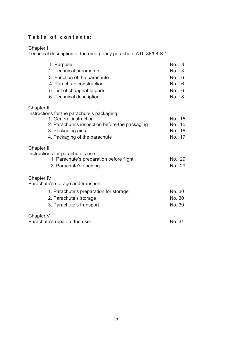## Table of contents:

Chapter I

Technical description of the emergency parachute ATL-88/98-S-1

| 1. Purpose                                     | No. 3    |
|------------------------------------------------|----------|
| 2. Technical parameters                        | No. 3    |
| 3. Function of the parachute                   | No.<br>6 |
| 4. Parachute construction                      | No. 6    |
| 5. List of changeable parts                    | No.<br>6 |
| 6. Technical description                       | No. 8    |
| Chapter II                                     |          |
| Instructions for the parachute's packaging     |          |
| 1. General instruction                         | No. 15   |
| 2. Parachute's inspection before the packaging | No. 15   |
| 3. Packaging aids                              | No. 16   |
| 4. Packaging of the parachute                  | No. 17   |
| <b>Chapter III</b>                             |          |
| Instructions for parachute's use               |          |
| 1. Parachute's preparation before flight       | No. 29   |
| 2. Parachute's opening                         | No. 29   |
| Chapter IV                                     |          |
| Parachute's storage and transport              |          |
| 1. Parachute's preparation for storage         | No. 30   |
| 2. Parachute's storage                         | No. 30   |
| 3. Parachute's transport                       | No. 30   |
| Chapter V                                      |          |
| Parachute's repair at the user                 | No. 31   |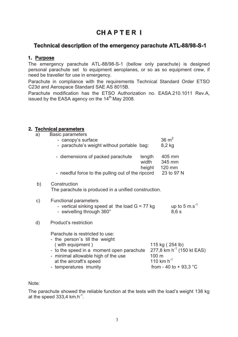## **CH A P T E R I**

## **Technical description of the emergency parachute ATL-88/98-S-1**

#### **1. Purpose**

 The emergency parachute ATL-88/98-S-1 (bellow only parachute) is designed personal parachute set to equipment aeroplanes, or so as so equipment crew, if need be traveller for use in emergency.

 Parachute in compliance with the requirements Technical Standard Order ETSO C23d and Aerospace Standard SAE AS 8015B.

 Parachute modification has the ETSO Authorization no. EASA.210.1011 Rev.A, issued by the EASA agency on the  $14<sup>th</sup>$  May 2008.

## **2. Technical parameters**

| a) | Basic parameters<br>- canopy's surface<br>- parachute's weight without portable bag:                                                                                                                                           |                 | $36 \text{ m}^2$<br>8,2 kg                                                                                      |
|----|--------------------------------------------------------------------------------------------------------------------------------------------------------------------------------------------------------------------------------|-----------------|-----------------------------------------------------------------------------------------------------------------|
|    | - diemensions of packed parachute                                                                                                                                                                                              | length<br>width | 405 mm<br>345 mm<br>120 mm                                                                                      |
|    | - needful force to the pulling out of the ripcord                                                                                                                                                                              | height          | 23 to 97 N                                                                                                      |
| b) | Construction<br>The parachute is produced in a unified construction.                                                                                                                                                           |                 |                                                                                                                 |
| C) | <b>Functional parameters</b><br>- vertical sinking speed at the load $G = 77$ kg<br>- swivelling through 360°                                                                                                                  |                 | up to 5 m.s <sup>-1</sup><br>8,6s                                                                               |
| d) | Product's restriction                                                                                                                                                                                                          |                 |                                                                                                                 |
|    | Parachute is restricted to use:<br>- the person's till the weight<br>(with equipment)<br>- to the speed in a moment open parachute<br>- minimal allowable high of the use<br>at the aircraft's speed<br>- temperatures imunity | 100 m           | 115 kg (254 lb)<br>277,8 km h <sup>-1</sup> (150 kt EAS)<br>110 km $h^{-1}$<br>from - 40 to + 93,3 $^{\circ}$ C |

Note:

The parachute showed the reliable function at the tests with the load's weight 138 kg at the speed 333,4  $km.h^{-1}$ .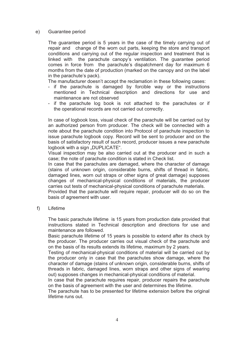#### e) Guarantee period

 The guarantee period is 5 years in the case of the timely carrying out of repair and change of the worn out parts, keeping the store and transport conditions and carrying out of the regular inspection and treatment that is linked with the parachute canopy's ventilation. The guarantee period comes in force from the parachute's dispatchment day for maximum 6 months from the date of production (marked on the canopy and on the label in the parachute's pack).

The manufacturer doesn't accept the reclamation in these following cases:

- if the parachute is damaged by forcible way or the instructions mentioned in Technical description and directions for use and maintenance are not observed
- if the parachute log book is not attached to the parachutes or if the operational records are not carried out correctly.

In case of logbook loss, visual check of the parachute will be carried out by an authorized person from producer. The check will be connected with a note about the parachute condition into Protocol of parachute inspection to issue parachute logbook copy. Record will be sent to producer and on the basis of satisfactory result of such record, producer issues a new parachute logbook with a sign ..DUPLICATE".

Visual inspection may be also carried out at the producer and in such a case; the note of parachute condition is stated in Check list.

In case that the parachutes are damaged, where the character of damage (stains of unknown origin, considerable burns, shifts of thread in fabric, damaged lines, worn out straps or other signs of great damage) supposes changes of mechanical-physical conditions of materials, the producer carries out tests of mechanical-physical conditions of parachute materials.

Provided that the parachute will require repair, producer will do so on the basis of agreement with user.

f) Lifetime

The basic parachute lifetime is 15 years from production date provided that instructions stated in Technical description and directions for use and maintenance are followed.

Basic parachute lifetime of 15 years is possible to extend after its check by the producer. The producer carries out visual check of the parachute and on the basis of its results extends its lifetime, maximum by 2 years.

 Testing of mechanical-physical conditions of material will be carried out by the producer only in case that the parachutes show damage, where the character of damage (stains of unknown origin, considerable burns, shifts of threads in fabric, damaged lines, worn straps and other signs of wearing out) supposes changes in mechanical-physical conditions of material.

 In case that the parachute requires repair, producer repairs the parachute on the basis of agreement with the user and determines the lifetime.

The parachute has to be presented for lifetime extension before the original lifetime runs out.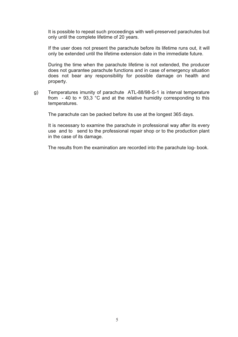It is possible to repeat such proceedings with well-preserved parachutes but only until the complete lifetime of 20 years.

If the user does not present the parachute before its lifetime runs out, it will only be extended until the lifetime extension date in the immediate future.

 During the time when the parachute lifetime is not extended, the producer does not guarantee parachute functions and in case of emergency situation does not bear any responsibility for possible damage on health and property.

g) Temperatures imunity of parachute ATL-88/98-S-1 is interval temperature from  $-40$  to  $+93,3$  °C and at the relative humidity corresponding to this temperatures.

The parachute can be packed before its use at the longest 365 days.

 It is necessary to examine the parachute in professional way after its every use and to send to the professional repair shop or to the production plant in the case of its damage.

The results from the examination are recorded into the parachute log- book.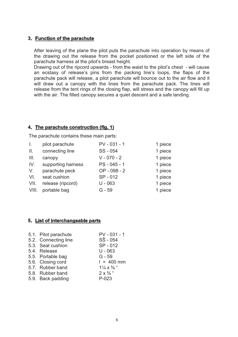#### **3. Function of the parachute**

After leaving of the plane the pilot puts the parachute into operation by means of the drawing out the release from the pocket positioned or the left side of the parachute harness at the pilot's breast height.

Drawing out of the ripcord upwards - from the waist to the pilot's chest - will cause an ecstasy of release's pins from the packing line's loops, the flaps of the parachute pack will release, a pilot parachute will bounce out to the air flow and it will draw out a canopy with the lines from the parachute pack. The lines will release from the tent rings of the closing flap, will stress and the canopy will fill up with the air. The filled canopy secures a quiet descent and a safe landing.

#### **4. The parachute construction (fig. 1)**

The parachute contains these main parts:

| $\mathbf{L}$   | pilot parachute    | PV - 031 - 1  | 1 piece |
|----------------|--------------------|---------------|---------|
| $\mathbb{I}$ . | connecting line    | SS - 054      | 1 piece |
| III.           | canopy             | $V - 070 - 2$ | 1 piece |
| IV.            | supporting harness | PS - 045 - 1  | 1 piece |
| V.             | parachute peck     | OP - 098 - 2  | 1 piece |
| VI.            | seat cushion       | SP-012        | 1 piece |
| VII.           | release (ripcord)  | $U - 063$     | 1 piece |
| VIII.          | portable bag       | $G - 59$      | 1 piece |

#### **5. List of interchangeable parts**

| 5.1. Pilot parachute | $PV - 031 - 1$                      |
|----------------------|-------------------------------------|
| 5.2. Connecting line | $S\check{S}$ - 054                  |
| 5.3. Seat cushion    | SP-012                              |
| 5.4. Release         | $U - 063$                           |
| 5.5. Portable bag    | $G - 59$                            |
| 5.6. Closing cord    | $1 = 400$ mm                        |
| 5.7. Rubber band     | $1\frac{1}{4} \times \frac{3}{8}$ " |
| 5.8. Rubber band     | $2 \times \frac{3}{8}$ "            |
| 5.9. Back padding    | $P-023$                             |
|                      |                                     |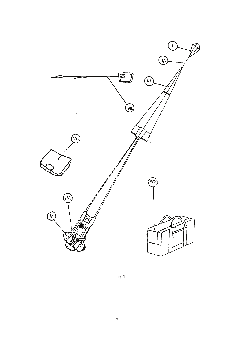

fig.1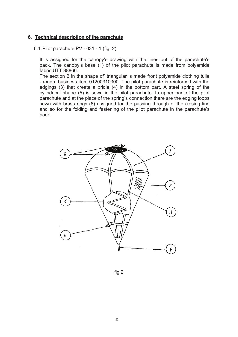#### **6. Technical description of the parachute**

#### 6.1.Pilot parachute PV - 031 - 1 (fig. 2)

It is assigned for the canopy's drawing with the lines out of the parachute's pack. The canopy's base (1) of the pilot parachute is made from polyamide fabric UTT 38866.

The section 2 in the shape of' triangular is made front polyamide clothing tulle - rough, business item 01200310300. The pilot parachute is reinforced with the edgings (3) that create a bridle (4) in the bottom part. A steel spring of the cylindrical shape (5) is sewn in the pilot parachute. In upper part of the pilot parachute and at the place of the spring's connection there are the edging loops sewn with brass rings (6) assigned for the passing through of the closing line and so for the folding and fastening of the pilot parachute in the parachute's pack.



fig.2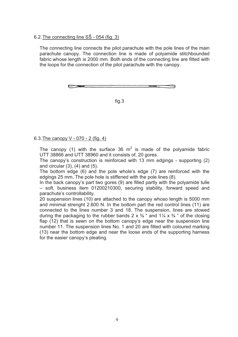#### 6.2.The connecting line SŠ - 054 (fig. 3)

The connecting line connects the pilot parachute with the pole lines of the main parachute canopy. The connection line is made of polyamide stitchbounded fabric whose length is 2000 mm. Both ends of the connecting line are fitted with the loops for the connection of the pilot parachute with the canopy.

fig.3

6.3.The canopy V - 070 - 2 (fig. 4)

The canopy (1) with the surface 36  $m^2$  is made of the polyamide fabric UTT 38866 and UTT 38960 and it consists of, 20 gores.

The canopy's construction is reinforced with 13 mm edgings - supporting (2) and circular (3), (4) and (5).

The bottom edge (6) and the pole whole's edge (7) are reinforced with the edgings 25 mm. The pole hole is stiffened with the pole lines (8).

In the back canopy's part two gores (9) are filled partly with the polyamide tulle – soft, business item 01200210300, securing stability, forward speed and parachute's controllability.

20 suspension lines (10) are attached to the canopy whoso length is 5000 mm and minimal strenght 2.600 N. In the bottom part the red control lines (11) are connected to the lines number 3 and 18. The suspension, lines are stowed during the packaging to the rubber bands 2 x  $\frac{3}{8}$  " and 11/4 x  $\frac{3}{8}$  " of the closing flap (12) that is sewn on the bottom canopy's edge near the suspension line number 11. The suspension lines No. 1 and 20 are fitted with coloured marking (13) near the bottom edge and near the loose ends of the supporting harness for the easier canopy's pleating.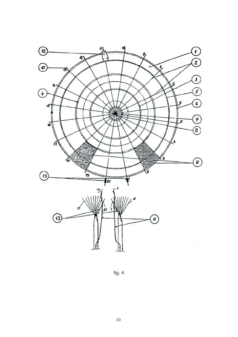

fig. 4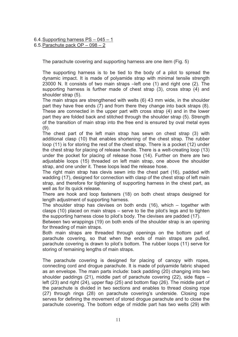6.4.Supporting harness PS – 045 – 1

#### 6.5.Parachute pack OP – 098 – 2

The parachute covering and supporting harness are one item (Fig. 5)

The supporting harness is to be tied to the body of a pilot to spread the dynamic impact. It is made of polyamide strap with minimal tensile strength 23000 N. It consists of two main straps –left one (1) and right one (2). The supporting harness is further made of chest strap (3), cross strap (4) and shoulder strap (5).

The main straps are strengthened with welts (6) 43 mm wide, in the shoulder part they have free ends (7) and from there they change into back straps (8). These are connected in the upper part with cross strap (4) and in the lower part they are folded back and stitched through the shoulder strap (5). Strength of the transition of main strap into the free end is ensured by oval metal eyes  $(9)$ .

The chest part of the left main strap has sewn on chest strap (3) with additional clasp (10) that enables shortening of the chest strap. The rubber loop (11) is for storing the rest of the chest strap. There is a pocket (12) under the chest strap for placing of release handle. There is a welt-creating loop (13) under the pocket for placing of release hose (14). Further on there are two adjustable loops (15) threaded on left main strap, one above the shoulder strap, and one under it. These loops lead the release hose.

The right main strap has clevis sewn into the chest part (16), padded with wadding (17), designed for connection with clasp of the chest strap of left main strap, and therefore for tightening of supporting harness in the chest part, as well as for its quick release.

There are hook and loop fasteners (18) on both chest straps designed for length adjustment of supporting harness.

The shoulder strap has clevises on both ends (16), which – together with clasps (10) placed on main straps – serve to tie the pilot's legs and to tighten the supporting harness close to pilot's body. The clevises are padded (17).

Between two wrappings (19) on both ends of the shoulder strap is an opening for threading of main straps.

Both main straps are threaded through openings on the bottom part of parachute covering, so that when the ends of main straps are pulled, parachute covering is drawn to pilot's bottom. The rubber loops (11) serve for storing of remaining lengths of main straps.

The parachute covering is designed for placing of canopy with ropes, connecting cord and drogue parachute. It is made of polyamide fabric shaped as an envelope. The main parts include: back padding (20) changing into two shoulder paddings (21), middle part of parachute covering (22), side flaps – left (23) and right (24), upper flap (25) and bottom flap (26). The middle part of the parachute is divided in two sections and enables to thread closing rope (27) through rings (28) on parachute covering's underside. Closing rope serves for defining the movement of stored drogue parachute and to close the parachute covering. The bottom edge of middle part has two welts (29) with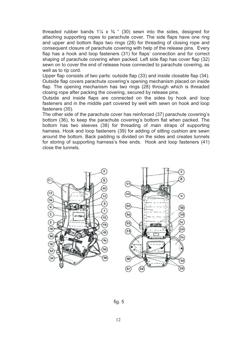threaded rubber bands  $1\frac{1}{4} \times \frac{3}{8}$  " (30) sewn into the sides, designed for attaching supporting ropes to parachute cover. The side flaps have one ring and upper and bottom flaps two rings (28) for threading of closing rope and consequent closure of parachute covering with help of the release pins. Every flap has a hook and loop fasteners (31) for flaps' connection and for correct shaping of parachute covering when packed. Left side flap has cover flap (32) sewn on to cover the end of release hose connected to parachute covering, as well as to rip cord.

Upper flap consists of two parts: outside flap (33) and inside closable flap (34). Outside flap covers parachute covering's opening mechanism placed on inside flap. The opening mechanism has two rings (28) through which is threaded closing rope after packing the covering, secured by release pins.

Outside and inside flaps are connected on the sides by hook and loop fasteners and in the middle part covered by welt with sewn on hook and loop fasteners (35).

The other side of the parachute cover has reinforced (37) parachute covering's bottom (36), to keep the parachute covering's bottom flat when packed. The bottom has two sleeves (38) for threading of main straps of supporting harness. Hook and loop fasteners (39) for adding of sitting cushion are sewn around the bottom. Back padding is divided on the sides and creates tunnels for storing of supporting harness's free ends. Hook and loop fasteners (41) close the tunnels.

![](_page_15_Picture_4.jpeg)

![](_page_15_Picture_5.jpeg)

fig. 5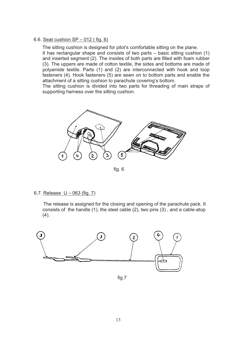#### 6.6. Seat cushion SP – 012 ( fig. 6)

The sitting cushion is designed for pilot's comfortable sitting on the plane. It has rectangular shape and consists of two parts – basic sitting cushion (1) and inserted segment (2). The insides of both parts are filled with foam rubber (3). The uppers are made of cotton textile, the sides and bottoms are made of polyamide textile. Parts (1) and (2) are interconnected with hook and loop fasteners (4). Hook fasteners (5) are sewn on to bottom parts and enable the attachment of a sitting cushion to parachute covering's bottom.

The sitting cushion is divided into two parts for threading of main straps of supporting harness over the sitting cushion.

![](_page_16_Figure_3.jpeg)

fig. 6

#### 6.7. Release  $U - 063$  (fig. 7)

 The release is assigned for the closing and opening of the parachute pack. It consists of the handle (1), the steel cable (2), two pins (3) , and a cable-atop  $(4).$ 

![](_page_16_Figure_7.jpeg)

fig.7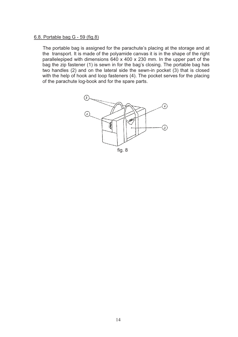#### 6.8. Portable bag G - 59 (fig.8)

 The portable bag is assigned for the parachute's placing at the storage and at the transport. It is made of the polyamide canvas it is in the shape of the right parallelepiped with dimensions 640 x 400 x 230 mm. In the upper part of the bag the zip fastener (1) is sewn in for the bag's closing. The portable bag has two handles (2) and on the lateral side the sewn-in pocket (3) that is closed with the help of hook and loop fasteners (4). The pocket serves for the placing of the parachute log-book and for the spare parts.

![](_page_17_Figure_2.jpeg)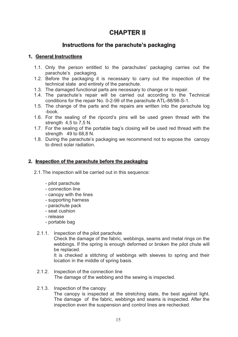## **CHAPTER II**

## **Instructions for the parachute's packaging**

#### **1. General instructions**

- 1.1. Only the person entitled to the parachutes' packaging carries out the parachute's packaging.
- 1.2. Before the packaging it is necessary to carry out the inspection of the technical state and entirety of the parachute.
- 1.3. The damaged functional parts are necessary to change or to repair.
- 1.4. The parachute's repair will be carried out according to the Technical conditions for the repair No. 0-2-99 of the parachute ATL-88/98-S-1.
- 1.5. The change of the parts and the repairs are written into the parachute log -book.
- 1.6. For the sealing of the ripcord's pins will be used green thread with the strength 4,5 to 7,5 N.
- 1.7. For the sealing of the portable bag's closing will be used red thread with the strength 49 to 68,8 N.
- 1.8. During the parachute's packaging we recommend not to expose the canopy to direct solar radiation.

#### **2. Inspection of the parachute before the packaging**

- 2.1.The inspection will be carried out in this sequence:
	- pilot parachute
	- connection line
	- canopy with the lines
	- supporting harness
	- parachute pack
	- seat cushion
	- release
	- portable bag
	- 2.1.1. Inspection of the pilot parachute

 Check the damage of the fabric, webbings, seams and metal rings on the webbings. If the spring is enough deformed or broken the pilot chute will be replaced.

It is checked a stitching of webbings with sleeves to spring and their location in the middle of spring basis.

- 2.1.2. Inspection of the connection line The damage of the webbing and the sewing is inspected.
- 2.1.3. Inspection of the canopy The canopy is inspected at the stretching state, the best against light. The damage of the fabric, webbings and seams is inspected. After the inspection even the suspension and control lines are rechecked.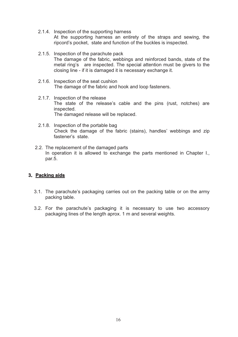- 2.1.4. Inspection of the supporting harness At the supporting harness an entirety of the straps and sewing, the ripcord's pocket, state and function of the buckles is inspected.
- 2.1.5. Inspection of the parachute pack The damage of the fabric, webbings and reinforced bands, state of the metal ring's are inspected. The special attention must be givers to the closing line - if it is damaged it is necessary exchange it.
- 2.1.6. Inspection of the seat cushion The damage of the fabric and hook and loop fasteners.
- 2.1.7. Inspection of the release The state of the release's cable and the pins (rust, notches) are inspected. The damaged release will be replaced.
- 2.1.8. Inspection of the portable bag Check the damage of the fabric (stains), handles' webbings and zip fastener's state.
- 2.2. The replacement of the damaged parts In operation it is allowed to exchange the parts mentioned in Chapter I., par.5.

#### **3. Packing aids**

- 3.1. The parachute's packaging carries out on the packing table or on the army packing table.
- 3.2. For the parachute's packaging it is necessary to use two accessory packaging lines of the length aprox. 1 m and several weights.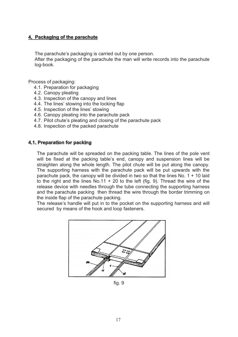#### **4. Packaging of the parachute**

The parachute's packaging is carried out by one person.

After the packaging of the parachute the man will write records into the parachute log-book.

Process of packaging:

- 4.1. Preparation for packaging
- 4.2. Canopy pleating
- 4.3. Inspection of the canopy and lines
- 4.4. The lines' stowing into the locking flap
- 4.5. Inspection of the lines' stowing
- 4.6. Canopy pleating into the parachute pack
- 4.7. Pilot chute's pleating and closing of the parachute pack
- 4.8. Inspection of the packed parachute

#### **4.1. Preparation for packing**

The parachute will be spreaded on the packing table. The lines of the pole vent will be fixed at the packing table's end, canopy and suspension lines will be straighten along the whole length. The pilot chute will be put along the canopy. The supporting harness with the parachute pack will be put upwards with the parachute pack, the canopy will be divided in two so that the lines No.  $1 + 10$  laid to the right and the lines No.11 + 20 to the left (fig. 9). Thread the wire of the release device with needles through the tube connecting the supporting harness and the parachute packing then thread the wire through the border trimming on the inside flap of the parachute packing.

The release's handle will put in to the pocket on the supporting harness and will secured by means of the hook and loop fasteners.

![](_page_20_Figure_15.jpeg)

fig. 9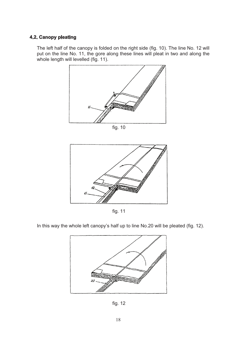### **4.2. Canopy pleating**

The left half of the canopy is folded on the right side (fig. 10). The line No. 12 will put on the line No. 11, the gore along these lines will pleat in two and along the whole length will levelled (fig. 11).

![](_page_21_Figure_2.jpeg)

fig. 10

![](_page_21_Figure_4.jpeg)

fig. 11

In this way the whole left canopy's half up to line No.20 will be pleated (fig. 12).

![](_page_21_Figure_7.jpeg)

fig. 12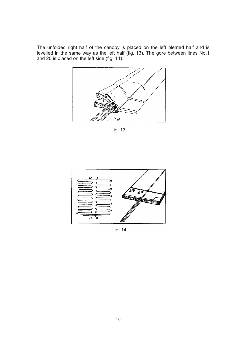The unfolded right half of the canopy is placed on the left pleated half and is levelled in the same way as the left half (fig. 13). The gore between lines No.1 and 20 is placed on the left side (fig. 14).

![](_page_22_Figure_1.jpeg)

fig. 13

![](_page_22_Figure_3.jpeg)

fig. 14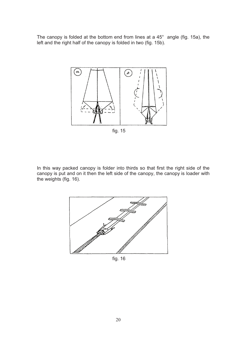The canopy is folded at the bottom end from lines at a 45° angle (fig. 15a), the left and the right half of the canopy is folded in two (fig. 15b).

![](_page_23_Figure_1.jpeg)

In this way packed canopy is folder into thirds so that first the right side of the canopy is put and on it then the left side of the canopy, the canopy is loader with the weights (fig. 16).

![](_page_23_Figure_3.jpeg)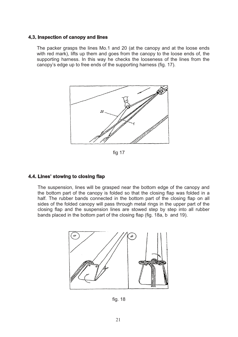#### **4.3. Inspection of canopy and lines**

The packer grasps the lines Mo.1 and 20 (at the canopy and at the loose ends with red mark), lifts up them and goes from the canopy to the loose ends of, the supporting harness. In this way he checks the looseness of the lines from the canopy's edge up to free ends of the supporting harness (fig. 17).

![](_page_24_Figure_2.jpeg)

fig 17

#### **4.4. Lines' stowing to closing flap**

The suspension, lines will be grasped near the bottom edge of the canopy and the bottom part of the canopy is folded so that the closing flap was folded in a half. The rubber bands connected in the bottom part of the closing flap on all sides of the folded canopy will pass through metal rings in the upper part of the closing flap and the suspension lines are stowed step by step into all rubber bands placed in the bottom part of the closing flap (fig. 18a, b and 19).

![](_page_24_Figure_6.jpeg)

fig. 18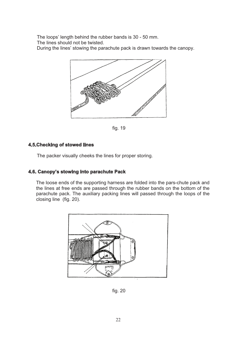The loops' length behind the rubber bands is 30 - 50 mm.

The lines should not be twisted.

During the lines' stowing the parachute pack is drawn towards the canopy.

![](_page_25_Figure_3.jpeg)

fig. 19

#### **4.5.Checking of stowed lines**

The packer visually cheeks the lines for proper storing.

#### **4.6. Canopy's stowing into parachute Pack**

The loose ends of the supporting harness are folded into the pars-chute pack and the lines at free ends are passed through the rubber bands on the bottom of the parachute pack. The auxiliary packing lines will passed through the loops of the closing line (fig. 20).

![](_page_25_Figure_9.jpeg)

fig. 20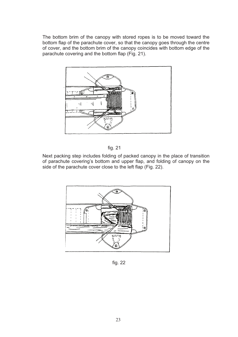The bottom brim of the canopy with stored ropes is to be moved toward the bottom flap of the parachute cover, so that the canopy goes through the centre of cover, and the bottom brim of the canopy coincides with bottom edge of the parachute covering and the bottom flap (Fig. 21).

![](_page_26_Figure_1.jpeg)

![](_page_26_Figure_2.jpeg)

Next packing step includes folding of packed canopy in the place of transition of parachute covering's bottom and upper flap, and folding of canopy on the side of the parachute cover close to the left flap (Fig. 22).

![](_page_26_Figure_4.jpeg)

fig. 22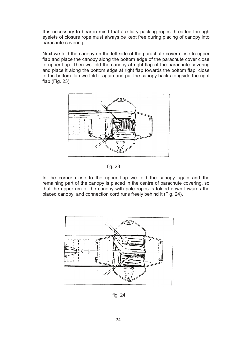It is necessary to bear in mind that auxiliary packing ropes threaded through eyelets of closure rope must always be kept free during placing of canopy into parachute covering.

Next we fold the canopy on the left side of the parachute cover close to upper flap and place the canopy along the bottom edge of the parachute cover close to upper flap. Then we fold the canopy at right flap of the parachute covering and place it along the bottom edge at right flap towards the bottom flap, close to the bottom flap we fold it again and put the canopy back alongside the right flap (Fig. 23).

![](_page_27_Figure_2.jpeg)

fig. 23

In the corner close to the upper flap we fold the canopy again and the remaining part of the canopy is placed in the centre of parachute covering, so that the upper rim of the canopy with pole ropes is folded down towards the placed canopy, and connection cord runs freely behind it (Fig. 24).

![](_page_27_Figure_5.jpeg)

fig. 24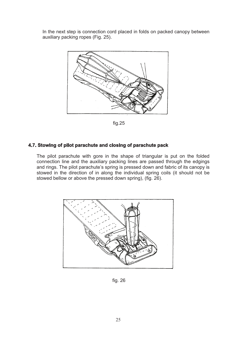In the next step is connection cord placed in folds on packed canopy between auxiliary packing ropes (Fig. 25).

![](_page_28_Figure_1.jpeg)

fig.25

#### **4.7. Stowing of pilot parachute and closing of parachute pack**

The pilot parachute with gore in the shape of triangular is put on the folded connection line and the auxiliary packing lines are passed through the edgings and rings. The pilot parachute's spring is pressed down and fabric of its canopy is stowed in the direction of in along the individual spring coils (it should not be stowed bellow or above the pressed down spring), (fig. 26).

![](_page_28_Figure_5.jpeg)

fig. 26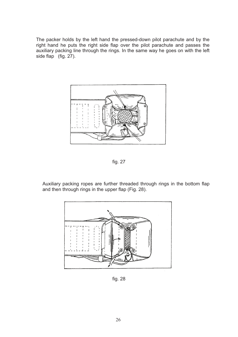The packer holds by the left hand the pressed-down pilot parachute and by the right hand he puts the right side flap over the pilot parachute and passes the auxiliary packing line through the rings. In the same way he goes on with the left side flap  $(fig. 27)$ .

![](_page_29_Picture_1.jpeg)

fig. 27

Auxiliary packing ropes are further threaded through rings in the bottom flap and then through rings in the upper flap (Fig. 28).

![](_page_29_Figure_4.jpeg)

fig. 28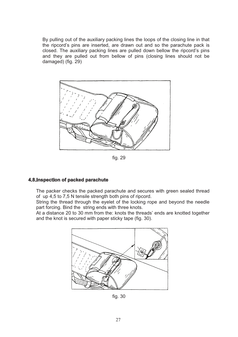By pulling out of the auxiliary packing lines the loops of the closing line in that the ripcord's pins are inserted, are drawn out and so the parachute pack is closed. The auxiliary packing lines are pulled down bellow the ripcord's pins and they are pulled out from bellow of pins (closing lines should not be damaged) (fig. 29)

![](_page_30_Figure_1.jpeg)

fig. 29

#### **4.8.Inspection of packed parachute**

The packer checks the packed parachute and secures with green sealed thread of up 4,5 to 7,5 N tensile strength both pins of ripcord.

String the thread through the eyelet of the locking rope and beyond the needle part forcing. Bind the string ends with three knots.

At a distance 20 to 30 mm from the: knots the threads' ends are knotted together and the knot is secured with paper sticky tape (fig. 30).

![](_page_30_Figure_7.jpeg)

fig. 30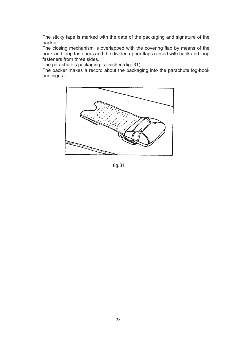The sticky tape is marked with the date of the packaging and signature of the packer.

The closing mechanism is overlapped with the covering flap by means of the hook and loop fasteners and the divided upper flaps closed with hook and loop fasteners from three sides.

The parachute's packaging is finished (fig. 31).

The packer makes a record about the packaging into the parachute log-book and signs it.

![](_page_31_Figure_4.jpeg)

fig.31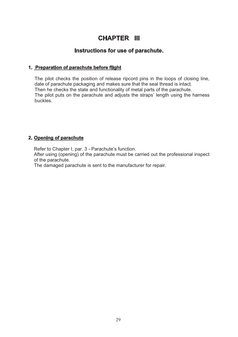## **CHAPTER III**

### **Instructions for use of parachute.**

#### **1. Preparation of parachute before flight**

The pilot checks the position of release ripcord pins in the loops of closing line, date of parachute packaging and makes sure that the seal thread is intact. Then he checks the state and functionality of metal parts of the parachute. The pilot puts on the parachute and adjusts the straps' length using the harness buckles.

#### **2. Opening of parachute**

Refer to Chapter I, par. 3 - Parachute's function.

After using (opening) of the parachute must be carried out the professional inspect of the parachute.

The damaged parachute is sent to the manufacturer for repair.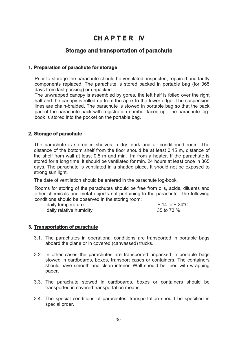## **CH A P T E R IV**

### **Storage and transportation of parachute**

#### **1. Preparation of parachute for storage**

Prior to storage the parachute should be ventilated, inspected, repaired and faulty components replaced. The parachute is stored packed in portable bag (for 365 days from last packing) or unpacked.

The unwrapped canopy is assembled by gores, the left half is foiled over the right half and the canopy is rolled up from the apex to the lower edge. The suspension lines are chain-braided. The parachute is stowed in portable bag so that the back pad of the parachute pack with registration number faced up. The parachute logbook is stored into the pocket on the portable bag.

#### **2. Storage of parachute**

The parachute is stored in shelves in dry, dark and air-conditioned room. The distance of the bottom shelf from the floor should be at least 0,15 m, distance of the shelf from wall at least 0,5 m and min. 1m from a heater. If the parachute is stored for a long time, it should be ventilated for min. 24 hours at least once in 365 days. The parachute is ventilated in a shaded place. It should not be exposed to strong sun light.

The date of ventilation should be entered in the parachute log-book.

Rooms for storing of the parachutes should be free from oils, acids, diluents and other chemicals and metal objects not pertaining to the parachute. The following conditions should be observed in the storing room:

| daily temperature       | $+14$ to $+24^{\circ}$ C |
|-------------------------|--------------------------|
| daily relative humidity | 35 to 73 %               |

#### **3. Transportation of parachute**

- 3.1. The parachutes in operational conditions are transported in portable bags aboard the plane or in covered (canvassed) trucks.
- 3.2. In other cases the parachutes are transported unpacked in portable bags stowed in cardboards, boxes, transport cases or containers. The containers should have smooth and clean interior. Wall should be lined with wrapping paper.
- 3.3. The parachute stowed in cardboards, boxes or containers should be transported in covered transportation means.
- 3.4. The special conditions of parachutes' transportation should be specified in special order.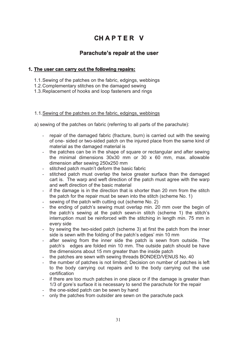## **CH A P T E R V**

## **Parachute's repair at the user**

#### **1. The user can carry out the following repairs:**

- 1.1.Sewing of the patches on the fabric, edgings, webbings
- 1.2.Complementary stitches on the damaged sewing
- 1.3.Replacement of hooks and loop fasteners and rings

#### 1.1.Sewing of the patches on the fabric, edgings, webbings

a) sewing of the patches on fabric (referring to all parts of the parachute):

- repair of the damaged fabric (fracture, burn) is carried out with the sewing of one- sided or two-sided patch on the injured place from the same kind of material as the damaged material is
- the patches can be in the shape of square or rectangular and after sewing the minimal dimensions 30x30 mm or 30 x 60 mm, max. allowable dimension after sewing 250x250 mm
- stitched patch mustn't deform the basic fabric
- stitched patch must overlap the twice greater surface than the damaged cart is. The warp and weft direction of the patch must agree with the warp and weft direction of the basic material
- if the damage is in the direction that is shorter than 20 mm from the stitch the patch for the repair must be sewn into the stitch (scheme No. 1)
- sewing of the patch with cutting out (scheme No. 2)
- the ending of patch's sewing must overlap min. 20 mm over the begin of the patch's sewing at the patch sewn-in stitch (scheme 1) the stitch's interruption must be reinforced with the stitching in length min. 75 mm in every side
- by sewing the two-sided patch (scheme 3) at first the patch from the inner side is sewn with the folding of the patch's edges' min 10 mm
- after sewing from the inner side the patch is sewn from outside. The patch's edges are folded min 10 mm. The outside patch should be have the dimensions about 15 mm greater than the inside patch
- the patches are sewn with sewing threads BONDED/VENUS No. 40
- the number of patches is not limited; Decision on number of patches is left to the body carrying out repairs and to the body carrying out the use certification
- if there are too much patches in one place or if the damage is greater than 1/3 of gore's surface it is necessary to send the parachute for the repair
- the one-sided patch can be sewn by hand
- only the patches from outsider are sewn on the parachute pack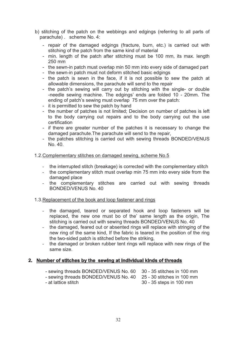- b) stitching of the patch on the webbings and edgings (referring to all parts of parachute) . scheme No. 4:
	- repair of the damaged edgings (fracture, burn, etc.) is carried out with stitching of the patch from the same kind of material
	- min. length of the patch after stitching must be 100 mm, its max. length 250 mm
	- the sewn-in patch must overlap min 50 mm into every side of damaged part
	- the sewn-in patch must not deform stitched basic edgings
	- the patch is sewn in the face, if it is not possible to sew the patch at allowable dimensions, the parachute will send to the repair
	- the patch's sewing will carry out by stitching with the single- or double -needle sewing machine. The edgings' ends are folded 10 - 20mm. The ending of patch's sewing must overlap 75 mm over the patch:
	- it is permitted to sew the patch by hand
	- the number of patches is not limited; Decision on number of patches is left to the body carrying out repairs and to the body carrying out the use certification
	- if there are greater number of the patches it is necessary to change the damaged parachute.The parachute will send to the repair,
	- the patches stitching is carried out with sewing threads BONDED/VENUS No. 40.

#### 1.2.Complementary stitches on damaged sewing, scheme No.5

- the interrupted stitch (breakage) is corrected with the complementary stitch
- the complementary stitch must overlap min 75 mm into every side from the damaged place
- the complementary stitches are carried out with sewing threads BONDED/VENUS No. 40

#### 1.3.Replacement of the book and loop fastener and rings

- the damaged, teared or separated hook and loop fasteners will be replaced, the new one must bo of the' same length as the origin, The stitching is carried out with sewing threads BONDED/VENUS No. 40
- the damaged, feared out or absented rings will replace with stringing of the new ring of the same kind, If the fabric is teared in the position of the ring the two-sided patch is stitched before the striking,
- the damaged or broken rubber tent rings will replace with new rings of the same size.

#### **2. Number of stitches by the sewing at individual kinds of threads**

- sewing threads BONDED/VENUS No. 60 30 35 stitches in 100 mm
- sewing threads BONDED/VENUS No. 40 25 30 stitches in 100 mm
- at lattice stitch 30 35 steps in 100 mm
-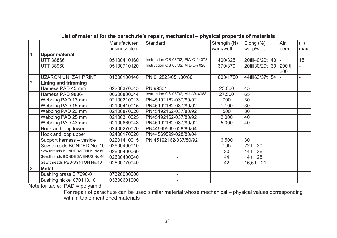|                              | Manufacturer                                                                                                                                                                                                                                                                                                                | Standard                          | Strength (N)                     | Elong $(\%)$           | Air.     | (1)                      |
|------------------------------|-----------------------------------------------------------------------------------------------------------------------------------------------------------------------------------------------------------------------------------------------------------------------------------------------------------------------------|-----------------------------------|----------------------------------|------------------------|----------|--------------------------|
|                              |                                                                                                                                                                                                                                                                                                                             |                                   |                                  | warp/weft              | perm.    | max.                     |
|                              |                                                                                                                                                                                                                                                                                                                             |                                   |                                  |                        |          |                          |
| <b>UTT 38866</b>             | 05100410160                                                                                                                                                                                                                                                                                                                 | Instruction QS 03/02, PIA-C-44378 | 400/325                          | 20till40/20till40      |          | 15                       |
| <b>UTT 38960</b>             | 05100710120                                                                                                                                                                                                                                                                                                                 | Instruction QS 03/02, MIL-C-7020  | 370/370                          |                        | 200 till |                          |
|                              |                                                                                                                                                                                                                                                                                                                             |                                   |                                  |                        |          |                          |
| <b>UZARON UNI ZA1 PRINT</b>  | 01300100140                                                                                                                                                                                                                                                                                                                 | PN 012823/051/80/80               |                                  | 44till63/37till54      |          |                          |
| <b>Lining and trimming</b>   |                                                                                                                                                                                                                                                                                                                             |                                   |                                  |                        |          |                          |
| Harness PAD 45 mm            | 02200370045                                                                                                                                                                                                                                                                                                                 | PN 99301                          | 23.000                           | 45                     |          |                          |
| Harness PAD 9886-1           | 06200800044                                                                                                                                                                                                                                                                                                                 |                                   | 27.500                           | 65                     |          |                          |
| Webbing PAD 13 mm            | 02100210013                                                                                                                                                                                                                                                                                                                 | PN45192162-037/80/92              | 700                              | 30                     |          |                          |
| Webbing PAD 15 mm            | 02100410015                                                                                                                                                                                                                                                                                                                 | PN45192162-037/80/92              | 1.100                            | 30                     |          |                          |
| Webbing PAD 20 mm            | 02100870020                                                                                                                                                                                                                                                                                                                 | PN45192162-037/80/92              | 500                              | 30                     |          |                          |
| Webbing PAD 25 mm            | 02100310025                                                                                                                                                                                                                                                                                                                 | PN45192162-037/80/92              | 2.000                            | 40                     |          |                          |
| Webbing PAD 43 mm            | 02100669043                                                                                                                                                                                                                                                                                                                 | PN45192162-037/80/92              | 5.000                            | 40                     |          |                          |
| Hook and loop lower          | 02400270020                                                                                                                                                                                                                                                                                                                 | PN44569599-028/80/04              |                                  |                        |          |                          |
| Hook and loop upper          | 02400170020                                                                                                                                                                                                                                                                                                                 | PN44569599-028/80/04              |                                  |                        |          |                          |
| Support harness - vesicle    | 02201410015                                                                                                                                                                                                                                                                                                                 | PN 45192162/037/80/92             | 6.500                            | 30                     |          |                          |
| Sew.threads BONDED No. 10    | 02600400010                                                                                                                                                                                                                                                                                                                 |                                   | 195                              | 22 till 30             |          |                          |
|                              | 02600400060                                                                                                                                                                                                                                                                                                                 |                                   | 30                               | 14 till 26             |          |                          |
|                              | 02600400040                                                                                                                                                                                                                                                                                                                 | $\overline{\phantom{a}}$          | 44                               | 14 till 28             |          |                          |
| Sew.threads PES-SYNTON No.40 | 02600770040                                                                                                                                                                                                                                                                                                                 | $\overline{\phantom{a}}$          | 42                               | 16,5 till 21           |          |                          |
| <b>Metal</b>                 |                                                                                                                                                                                                                                                                                                                             |                                   |                                  |                        |          |                          |
| Bushing brass S 7690-0       | 07320000000                                                                                                                                                                                                                                                                                                                 |                                   |                                  |                        |          |                          |
| Bushing nickel 070113.10     | 03300601000                                                                                                                                                                                                                                                                                                                 |                                   |                                  |                        |          |                          |
|                              | <b>Upper material</b><br>Sew.threads BONDED/VENUS No.60<br>Sew.threads BONDED/VENUS No.40<br>Material Control of Latin Control of Department of the Control of the Control of the Control of the Control of the Control of the Control of the Control of the Control of the Control of the Control of the Control of the Co | business item                     | Instruction QS 03/02, MIL-W-4088 | warp/weft<br>1800/1750 |          | 20till30/20till30<br>300 |

### **List of material for the parachute´s repair, mechanical – physical propertis of materials**

Note for table: PAD = polyamid

 For repair of parachute can be used similar material whose mechanical – physical values corresponding with in table mentioned materials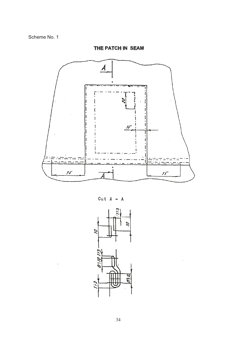$\overline{A}$ Ğ, 15  $75$  $\mathcal{F}\mathcal{F}$ 

**THE PATCH IN SEAM**

Cut  $A - A$ 

![](_page_37_Figure_4.jpeg)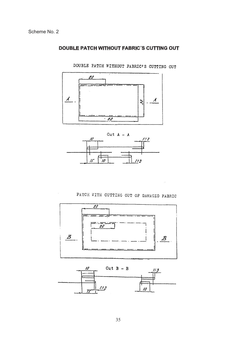#### **DOUBLE PATCH WITHOUT FABRIC´S CUTTING OUT**

![](_page_38_Figure_2.jpeg)

DOUBLE PATCH WITHOUT FABRIC'S CUTTING OUT

![](_page_38_Figure_4.jpeg)

## PATCH WITH CUTTING OUT OF DAMAGED FABRIC

![](_page_38_Figure_6.jpeg)

![](_page_38_Figure_7.jpeg)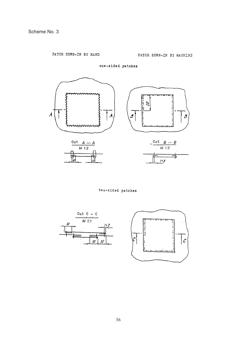PATCH SEWN-IN BY HAND

 $\overline{\mathcal{L}}$ 

![](_page_39_Figure_3.jpeg)

one-sided patches

two-sided patches

![](_page_39_Figure_6.jpeg)

 $\mathcal{L}$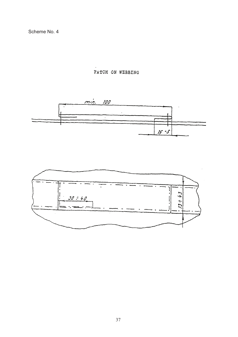Scheme No. 4

PATCH ON WEBBING

![](_page_40_Figure_2.jpeg)

![](_page_40_Figure_3.jpeg)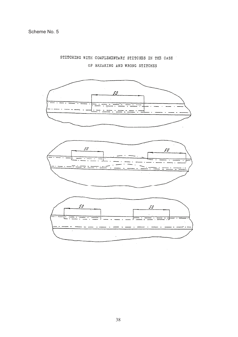STITCHING WITH COMPLEMENTARY STITCHES IN THE CASE OF BREAKING AND WRONG STITCHES

![](_page_41_Figure_2.jpeg)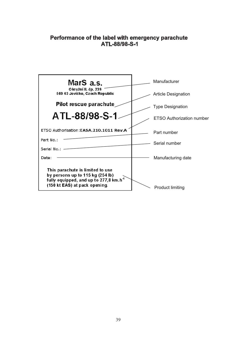## **Performance of the label with emergency parachute ATL-88/98-S-1**

| MarS a.s.<br>Manufacturer<br>Okružní II. čp. 239<br>569 43 Jevíčko, Czech Republic<br><b>Article Designation</b><br>Pilot rescue parachute<br>Type Designation<br>ATL-88/98-S-1<br>ETSO Authorisation: EASA.210.1011 Rev.A<br>Part number<br>Part No.:<br>Serial number<br>Serial No.:<br>Date:<br>Manufacturing date |                                  |
|-----------------------------------------------------------------------------------------------------------------------------------------------------------------------------------------------------------------------------------------------------------------------------------------------------------------------|----------------------------------|
|                                                                                                                                                                                                                                                                                                                       |                                  |
|                                                                                                                                                                                                                                                                                                                       |                                  |
|                                                                                                                                                                                                                                                                                                                       |                                  |
|                                                                                                                                                                                                                                                                                                                       | <b>ETSO Authorization number</b> |
|                                                                                                                                                                                                                                                                                                                       |                                  |
|                                                                                                                                                                                                                                                                                                                       |                                  |
|                                                                                                                                                                                                                                                                                                                       |                                  |
|                                                                                                                                                                                                                                                                                                                       |                                  |
| This parachute is limited to use<br>by persons up to 115 kg (254 lb)<br>fully equipped, and up to 277,8 km.h <sup>-1</sup><br>(150 kt EAS) at pack opening.<br><b>Product limiting</b>                                                                                                                                |                                  |